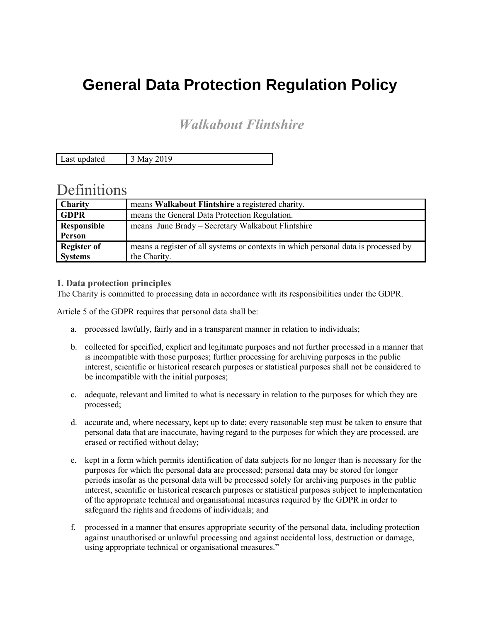# **General Data Protection Regulation Policy**

# *Walkabout Flintshire*

Last updated 3 May 2019

# **Definitions**

| <b>Charity</b>     | means Walkabout Flintshire a registered charity.                                   |
|--------------------|------------------------------------------------------------------------------------|
| <b>GDPR</b>        | means the General Data Protection Regulation.                                      |
| Responsible        | means June Brady – Secretary Walkabout Flintshire                                  |
| Person             |                                                                                    |
| <b>Register of</b> | means a register of all systems or contexts in which personal data is processed by |
| <b>Systems</b>     | the Charity.                                                                       |

# **1. Data protection principles**

The Charity is committed to processing data in accordance with its responsibilities under the GDPR.

Article 5 of the GDPR requires that personal data shall be:

- a. processed lawfully, fairly and in a transparent manner in relation to individuals;
- b. collected for specified, explicit and legitimate purposes and not further processed in a manner that is incompatible with those purposes; further processing for archiving purposes in the public interest, scientific or historical research purposes or statistical purposes shall not be considered to be incompatible with the initial purposes;
- c. adequate, relevant and limited to what is necessary in relation to the purposes for which they are processed;
- d. accurate and, where necessary, kept up to date; every reasonable step must be taken to ensure that personal data that are inaccurate, having regard to the purposes for which they are processed, are erased or rectified without delay;
- e. kept in a form which permits identification of data subjects for no longer than is necessary for the purposes for which the personal data are processed; personal data may be stored for longer periods insofar as the personal data will be processed solely for archiving purposes in the public interest, scientific or historical research purposes or statistical purposes subject to implementation of the appropriate technical and organisational measures required by the GDPR in order to safeguard the rights and freedoms of individuals; and
- f. processed in a manner that ensures appropriate security of the personal data, including protection against unauthorised or unlawful processing and against accidental loss, destruction or damage, using appropriate technical or organisational measures."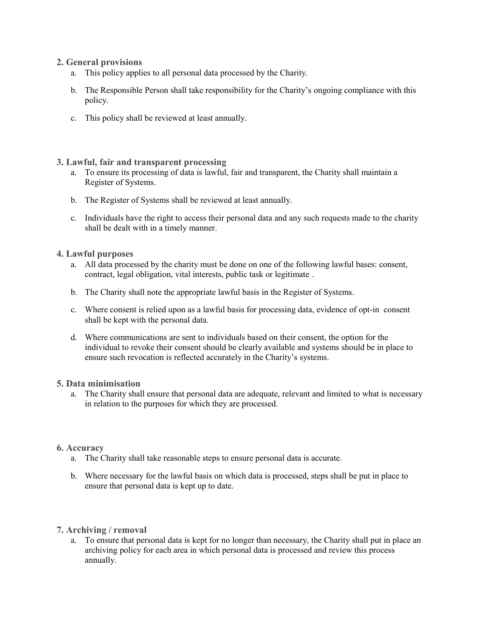# **2. General provisions**

- a. This policy applies to all personal data processed by the Charity.
- b. The Responsible Person shall take responsibility for the Charity's ongoing compliance with this policy.
- c. This policy shall be reviewed at least annually.

# **3. Lawful, fair and transparent processing**

- a. To ensure its processing of data is lawful, fair and transparent, the Charity shall maintain a Register of Systems.
- b. The Register of Systems shall be reviewed at least annually.
- c. Individuals have the right to access their personal data and any such requests made to the charity shall be dealt with in a timely manner.

# **4. Lawful purposes**

- a. All data processed by the charity must be done on one of the following lawful bases: consent, contract, legal obligation, vital interests, public task or legitimate .
- b. The Charity shall note the appropriate lawful basis in the Register of Systems.
- c. Where consent is relied upon as a lawful basis for processing data, evidence of opt-in consent shall be kept with the personal data.
- d. Where communications are sent to individuals based on their consent, the option for the individual to revoke their consent should be clearly available and systems should be in place to ensure such revocation is reflected accurately in the Charity's systems.

### **5. Data minimisation**

a. The Charity shall ensure that personal data are adequate, relevant and limited to what is necessary in relation to the purposes for which they are processed.

### **6. Accuracy**

- a. The Charity shall take reasonable steps to ensure personal data is accurate.
- b. Where necessary for the lawful basis on which data is processed, steps shall be put in place to ensure that personal data is kept up to date.

### **7. Archiving / removal**

a. To ensure that personal data is kept for no longer than necessary, the Charity shall put in place an archiving policy for each area in which personal data is processed and review this process annually.